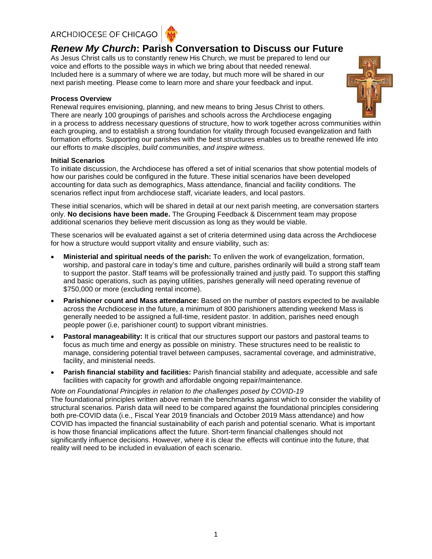# ARCHDIOCESE OF CHICAGO



# *Renew My Church***: Parish Conversation to Discuss our Future**

As Jesus Christ calls us to constantly renew His Church, we must be prepared to lend our voice and efforts to the possible ways in which we bring about that needed renewal. Included here is a summary of where we are today, but much more will be shared in our next parish meeting. Please come to learn more and share your feedback and input.

# **Process Overview**



Renewal requires envisioning, planning, and new means to bring Jesus Christ to others. There are nearly 100 groupings of parishes and schools across the Archdiocese engaging in a process to address necessary questions of structure, how to work together across communities within each grouping, and to establish a strong foundation for vitality through focused evangelization and faith formation efforts. Supporting our parishes with the best structures enables us to breathe renewed life into our efforts to *make disciples, build communities, and inspire witness*.

# **Initial Scenarios**

To initiate discussion, the Archdiocese has offered a set of initial scenarios that show potential models of how our parishes could be configured in the future. These initial scenarios have been developed accounting for data such as demographics, Mass attendance, financial and facility conditions. The scenarios reflect input from archdiocese staff, vicariate leaders, and local pastors.

These initial scenarios, which will be shared in detail at our next parish meeting, are conversation starters only. **No decisions have been made.** The Grouping Feedback & Discernment team may propose additional scenarios they believe merit discussion as long as they would be viable.

These scenarios will be evaluated against a set of criteria determined using data across the Archdiocese for how a structure would support vitality and ensure viability, such as:

- **Ministerial and spiritual needs of the parish:** To enliven the work of evangelization, formation, worship, and pastoral care in today's time and culture, parishes ordinarily will build a strong staff team to support the pastor. Staff teams will be professionally trained and justly paid. To support this staffing and basic operations, such as paying utilities, parishes generally will need operating revenue of \$750,000 or more (excluding rental income).
- **Parishioner count and Mass attendance:** Based on the number of pastors expected to be available across the Archdiocese in the future, a minimum of 800 parishioners attending weekend Mass is generally needed to be assigned a full-time, resident pastor. In addition, parishes need enough people power (i.e, parishioner count) to support vibrant ministries.
- **Pastoral manageability:** It is critical that our structures support our pastors and pastoral teams to focus as much time and energy as possible on ministry. These structures need to be realistic to manage, considering potential travel between campuses, sacramental coverage, and administrative, facility, and ministerial needs.
- **Parish financial stability and facilities:** Parish financial stability and adequate, accessible and safe facilities with capacity for growth and affordable ongoing repair/maintenance.

## *Note on Foundational Principles in relation to the challenges posed by COVID-19*

The foundational principles written above remain the benchmarks against which to consider the viability of structural scenarios. Parish data will need to be compared against the foundational principles considering both pre-COVID data (i.e., Fiscal Year 2019 financials and October 2019 Mass attendance) and how COVID has impacted the financial sustainability of each parish and potential scenario. What is important is how those financial implications affect the future. Short-term financial challenges should not significantly influence decisions. However, where it is clear the effects will continue into the future, that reality will need to be included in evaluation of each scenario.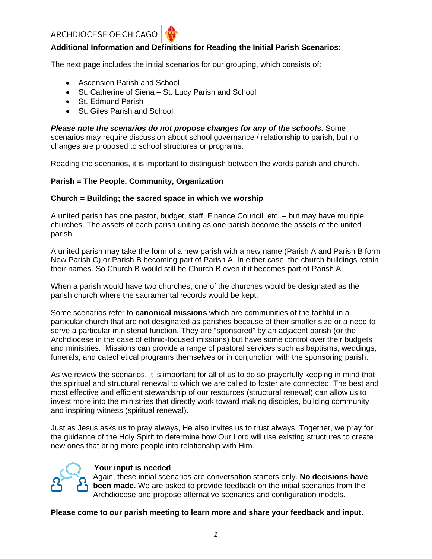

The next page includes the initial scenarios for our grouping, which consists of:

- Ascension Parish and School
- St. Catherine of Siena St. Lucy Parish and School
- St. Edmund Parish
- St. Giles Parish and School

*Please note the scenarios do not propose changes for any of the schools***.** Some scenarios may require discussion about school governance / relationship to parish, but no changes are proposed to school structures or programs.

Reading the scenarios, it is important to distinguish between the words parish and church.

# **Parish = The People, Community, Organization**

# **Church = Building; the sacred space in which we worship**

A united parish has one pastor, budget, staff, Finance Council, etc. – but may have multiple churches. The assets of each parish uniting as one parish become the assets of the united parish.

A united parish may take the form of a new parish with a new name (Parish A and Parish B form New Parish C) or Parish B becoming part of Parish A. In either case, the church buildings retain their names. So Church B would still be Church B even if it becomes part of Parish A.

When a parish would have two churches, one of the churches would be designated as the parish church where the sacramental records would be kept.

Some scenarios refer to **canonical missions** which are communities of the faithful in a particular church that are not designated as parishes because of their smaller size or a need to serve a particular ministerial function. They are "sponsored" by an adjacent parish (or the Archdiocese in the case of ethnic-focused missions) but have some control over their budgets and ministries. Missions can provide a range of pastoral services such as baptisms, weddings, funerals, and catechetical programs themselves or in conjunction with the sponsoring parish.

As we review the scenarios, it is important for all of us to do so prayerfully keeping in mind that the spiritual and structural renewal to which we are called to foster are connected. The best and most effective and efficient stewardship of our resources (structural renewal) can allow us to invest more into the ministries that directly work toward making disciples, building community and inspiring witness (spiritual renewal).

Just as Jesus asks us to pray always, He also invites us to trust always. Together, we pray for the guidance of the Holy Spirit to determine how Our Lord will use existing structures to create new ones that bring more people into relationship with Him.



# **Your input is needed**

Again, these initial scenarios are conversation starters only. **No decisions have been made.** We are asked to provide feedback on the initial scenarios from the Archdiocese and propose alternative scenarios and configuration models.

**Please come to our parish meeting to learn more and share your feedback and input.**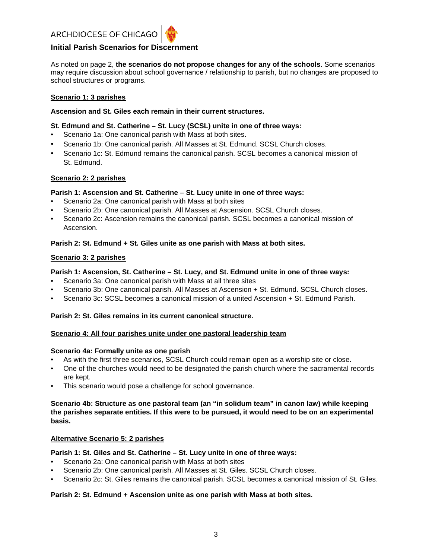

As noted on page 2, **the scenarios do not propose changes for any of the schools**. Some scenarios may require discussion about school governance / relationship to parish, but no changes are proposed to school structures or programs.

## **Scenario 1: 3 parishes**

#### **Ascension and St. Giles each remain in their current structures.**

#### **St. Edmund and St. Catherine – St. Lucy (SCSL) unite in one of three ways:**

- Scenario 1a: One canonical parish with Mass at both sites.
- Scenario 1b: One canonical parish. All Masses at St. Edmund. SCSL Church closes.
- Scenario 1c: St. Edmund remains the canonical parish. SCSL becomes a canonical mission of St. Edmund.

#### **Scenario 2: 2 parishes**

#### **Parish 1: Ascension and St. Catherine – St. Lucy unite in one of three ways:**

- Scenario 2a: One canonical parish with Mass at both sites
- Scenario 2b: One canonical parish. All Masses at Ascension. SCSL Church closes.
- Scenario 2c: Ascension remains the canonical parish. SCSL becomes a canonical mission of Ascension.

#### **Parish 2: St. Edmund + St. Giles unite as one parish with Mass at both sites.**

#### **Scenario 3: 2 parishes**

#### **Parish 1: Ascension, St. Catherine – St. Lucy, and St. Edmund unite in one of three ways:**

- Scenario 3a: One canonical parish with Mass at all three sites
- Scenario 3b: One canonical parish. All Masses at Ascension + St. Edmund. SCSL Church closes.
- Scenario 3c: SCSL becomes a canonical mission of a united Ascension + St. Edmund Parish.

# **Parish 2: St. Giles remains in its current canonical structure.**

#### **Scenario 4: All four parishes unite under one pastoral leadership team**

#### **Scenario 4a: Formally unite as one parish**

- As with the first three scenarios, SCSL Church could remain open as a worship site or close.
- One of the churches would need to be designated the parish church where the sacramental records are kept.
- This scenario would pose a challenge for school governance.

# **Scenario 4b: Structure as one pastoral team (an "in solidum team" in canon law) while keeping the parishes separate entities. If this were to be pursued, it would need to be on an experimental basis.**

## **Alternative Scenario 5: 2 parishes**

#### **Parish 1: St. Giles and St. Catherine – St. Lucy unite in one of three ways:**

- Scenario 2a: One canonical parish with Mass at both sites
- Scenario 2b: One canonical parish. All Masses at St. Giles. SCSL Church closes.
- Scenario 2c: St. Giles remains the canonical parish. SCSL becomes a canonical mission of St. Giles.

## **Parish 2: St. Edmund + Ascension unite as one parish with Mass at both sites.**